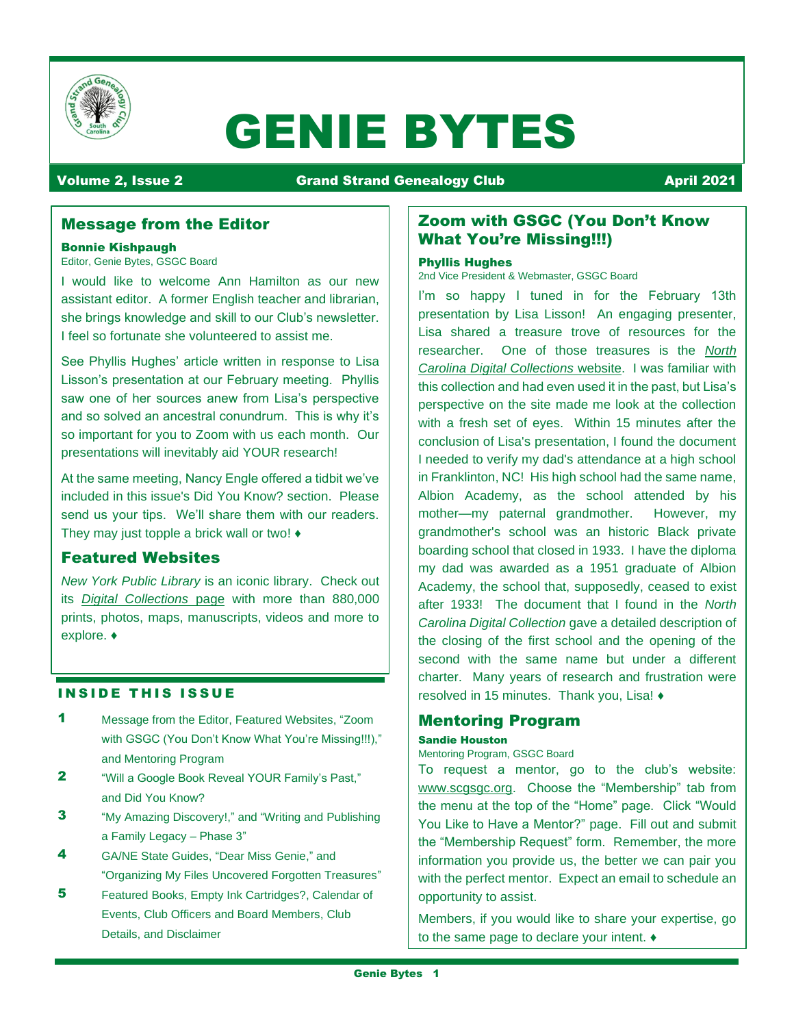

# GENIE BYTES

# Volume 2, Issue 2 **Crand Strand Genealogy Club April 2021**

# Message from the Editor

# Bonnie Kishpaugh

Editor, Genie Bytes, GSGC Board

I would like to welcome Ann Hamilton as our new assistant editor. A former English teacher and librarian, she brings knowledge and skill to our Club's newsletter. I feel so fortunate she volunteered to assist me.

See Phyllis Hughes' article written in response to Lisa Lisson's presentation at our February meeting. Phyllis saw one of her sources anew from Lisa's perspective and so solved an ancestral conundrum. This is why it's so important for you to Zoom with us each month. Our presentations will inevitably aid YOUR research!

At the same meeting, Nancy Engle offered a tidbit we've included in this issue's Did You Know? section. Please send us your tips. We'll share them with our readers. They may just topple a brick wall or two! ♦

# Featured Websites

*New York Public Library* is an iconic library. Check out its *[Digital Collections](https://digitalcollections.nypl.org/)* page with more than 880,000 prints, photos, maps, manuscripts, videos and more to explore. ♦

# **INSIDE THIS ISSUE**

- 1 Message from the Editor, Featured Websites, "Zoom with GSGC (You Don't Know What You're Missing!!!)," and Mentoring Program
- 2 "Will a Google Book Reveal YOUR Family's Past," and Did You Know?
- **3** "My Amazing Discovery!," and "Writing and Publishing a Family Legacy – Phase 3"
- 4 GA/NE State Guides, "Dear Miss Genie," and "Organizing My Files Uncovered Forgotten Treasures"
- 5 Featured Books, Empty Ink Cartridges?, Calendar of Events, Club Officers and Board Members, Club Details, and Disclaimer

# Zoom with GSGC (You Don't Know What You're Missing!!!)

#### Phyllis Hughes

2nd Vice President & Webmaster, GSGC Board

I'm so happy I tuned in for the February 13th presentation by Lisa Lisson! An engaging presenter, Lisa shared a treasure trove of resources for the researcher. One of those treasures is the *[North](https://digital.ncdcr.gov/)  [Carolina Digital Collections](https://digital.ncdcr.gov/)* website. I was familiar with this collection and had even used it in the past, but Lisa's perspective on the site made me look at the collection with a fresh set of eyes. Within 15 minutes after the conclusion of Lisa's presentation, I found the document I needed to verify my dad's attendance at a high school in Franklinton, NC! His high school had the same name, Albion Academy, as the school attended by his mother—my paternal grandmother. However, my grandmother's school was an historic Black private boarding school that closed in 1933. I have the diploma my dad was awarded as a 1951 graduate of Albion Academy, the school that, supposedly, ceased to exist after 1933! The document that I found in the *North Carolina Digital Collection* gave a detailed description of the closing of the first school and the opening of the second with the same name but under a different charter. Many years of research and frustration were resolved in 15 minutes. Thank you, Lisa! ♦

# Mentoring Program

#### Sandie Houston

#### Mentoring Program, GSGC Board

To request a mentor, go to the club's website: [www.scgsgc.org.](http://www.scgsgc.org/) Choose the "Membership" tab from the menu at the top of the "Home" page. Click "Would You Like to Have a Mentor?" page. Fill out and submit the "Membership Request" form. Remember, the more information you provide us, the better we can pair you with the perfect mentor. Expect an email to schedule an opportunity to assist.

Members, if you would like to share your expertise, go to the same page to declare your intent. ♦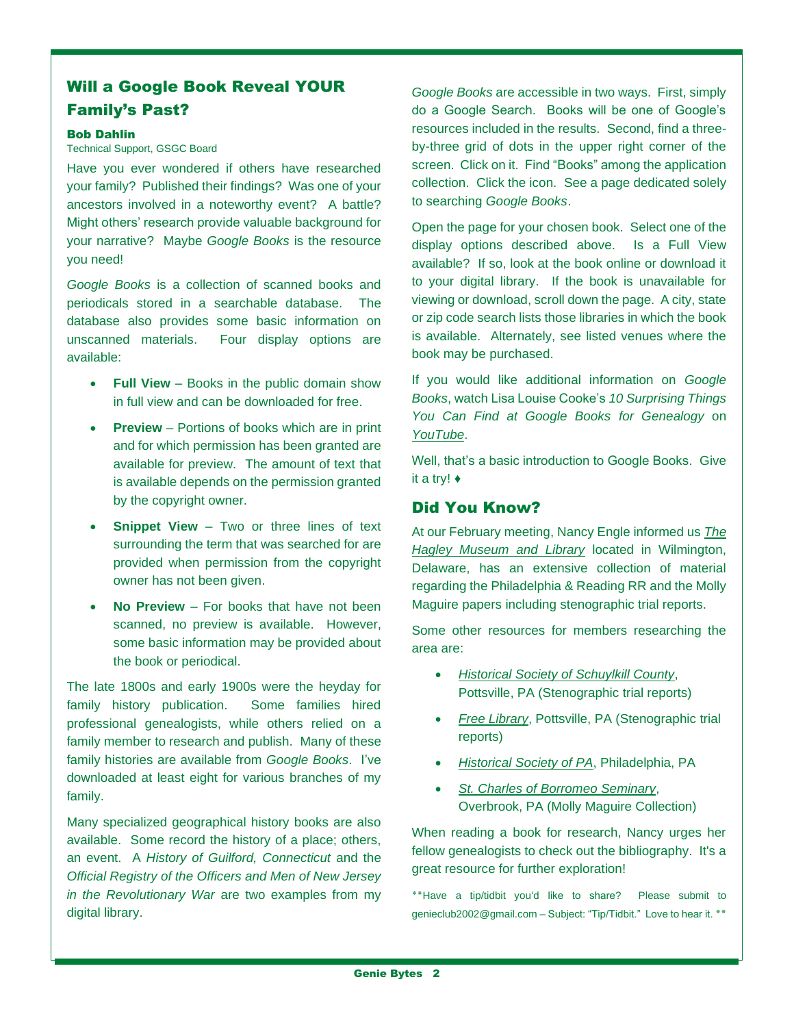# Will a Google Book Reveal YOUR Family's Past?

#### Bob Dahlin

Technical Support, GSGC Board

Have you ever wondered if others have researched your family? Published their findings? Was one of your ancestors involved in a noteworthy event? A battle? Might others' research provide valuable background for your narrative? Maybe *Google Books* is the resource you need!

*Google Books* is a collection of scanned books and periodicals stored in a searchable database. The database also provides some basic information on unscanned materials. Four display options are available:

- **Full View** Books in the public domain show in full view and can be downloaded for free.
- **Preview** Portions of books which are in print and for which permission has been granted are available for preview. The amount of text that is available depends on the permission granted by the copyright owner.
- **Snippet View** Two or three lines of text surrounding the term that was searched for are provided when permission from the copyright owner has not been given.
- **No Preview**  For books that have not been scanned, no preview is available. However, some basic information may be provided about the book or periodical.

The late 1800s and early 1900s were the heyday for family history publication. Some families hired professional genealogists, while others relied on a family member to research and publish. Many of these family histories are available from *Google Books*. I've downloaded at least eight for various branches of my family.

Many specialized geographical history books are also available. Some record the history of a place; others, an event. A *History of Guilford, Connecticut* and the *Official Registry of the Officers and Men of New Jersey in the Revolutionary War* are two examples from my digital library.

*Google Books* are accessible in two ways. First, simply do a Google Search. Books will be one of Google's resources included in the results. Second, find a threeby-three grid of dots in the upper right corner of the screen. Click on it. Find "Books" among the application collection. Click the icon. See a page dedicated solely to searching *Google Books*.

Open the page for your chosen book. Select one of the display options described above. Is a Full View available? If so, look at the book online or download it to your digital library. If the book is unavailable for viewing or download, scroll down the page. A city, state or zip code search lists those libraries in which the book is available. Alternately, see listed venues where the book may be purchased.

If you would like additional information on *Google Books*, watch Lisa Louise Cooke's *10 Surprising Things You Can Find at Google Books for Genealogy* on *[YouTube](https://www.youtube.com/watch?v=-rgWwuJ5dG4)*.

Well, that's a basic introduction to Google Books. Give it a try! ♦

# Did You Know?

At our February meeting, Nancy Engle informed us *[The](https://www.hagley.org/)  [Hagley Museum and Library](https://www.hagley.org/)* located in Wilmington, Delaware, has an extensive collection of material regarding the Philadelphia & Reading RR and the Molly Maguire papers including stenographic trial reports.

Some other resources for members researching the area are:

- *[Historical Society of Schuylkill County](http://schuylkillhistory.org/)*, Pottsville, PA (Stenographic trial reports)
- *[Free Library](http://www.pottsvillelibrary.org/)*, Pottsville, PA (Stenographic trial reports)
- *[Historical Society of PA](https://www.portal.hsp.org/)*, Philadelphia, PA
- *[St. Charles of Borromeo Seminary](https://www.scs.edu/)*, Overbrook, PA (Molly Maguire Collection)

When reading a book for research, Nancy urges her fellow genealogists to check out the bibliography. It's a great resource for further exploration!

**٭٭**Have a tip/tidbit you'd like to share? Please submit to [genieclub2002@gmail.com](mailto:genieclub2002@gmail.com) – Subject: "Tip/Tidbit." Love to hear it. ٭٭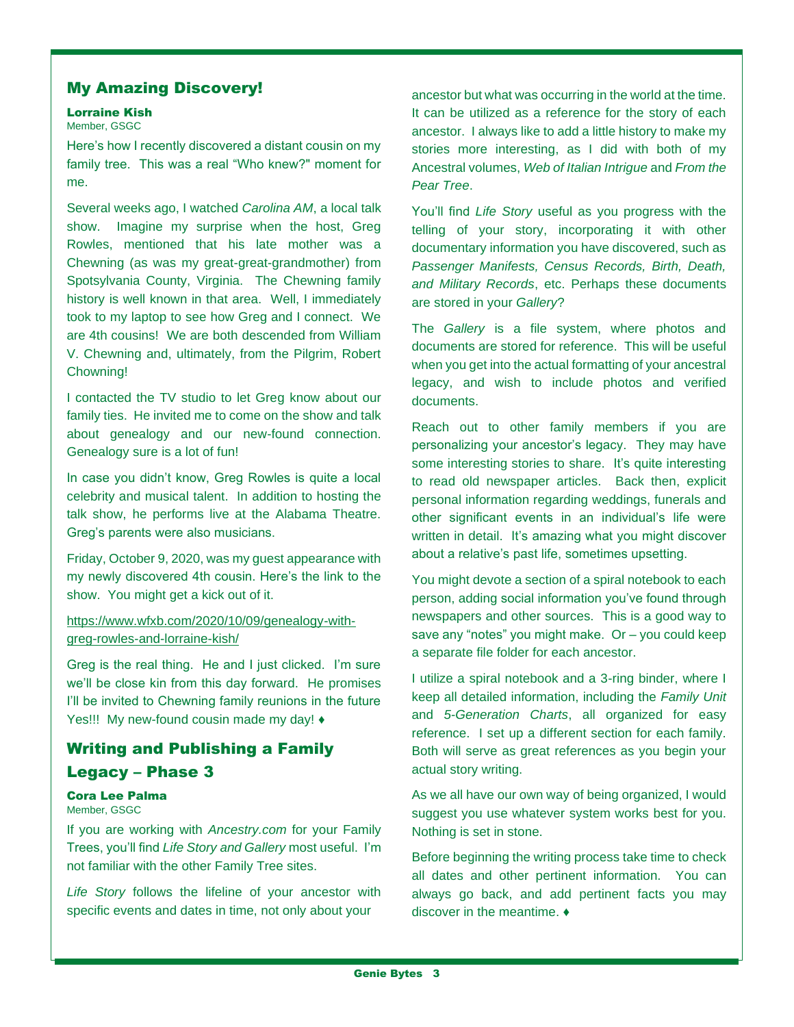# My Amazing Discovery!

#### Lorraine Kish

#### Member, GSGC

Here's how I recently discovered a distant cousin on my family tree. This was a real "Who knew?" moment for me.

Several weeks ago, I watched *Carolina AM*, a local talk show. Imagine my surprise when the host, Greg Rowles, mentioned that his late mother was a Chewning (as was my great-great-grandmother) from Spotsylvania County, Virginia. The Chewning family history is well known in that area. Well, I immediately took to my laptop to see how Greg and I connect. We are 4th cousins! We are both descended from William V. Chewning and, ultimately, from the Pilgrim, Robert Chowning!

I contacted the TV studio to let Greg know about our family ties. He invited me to come on the show and talk about genealogy and our new-found connection. Genealogy sure is a lot of fun!

In case you didn't know, Greg Rowles is quite a local celebrity and musical talent. In addition to hosting the talk show, he performs live at the Alabama Theatre. Greg's parents were also musicians.

Friday, October 9, 2020, was my guest appearance with my newly discovered 4th cousin. Here's the link to the show. You might get a kick out of it.

# [https://www.wfxb.com/2020/10/09/genealogy-with](https://www.wfxb.com/2020/10/09/genealogy-with-greg-rowles-and-lorraine-kish/)[greg-rowles-and-lorraine-kish/](https://www.wfxb.com/2020/10/09/genealogy-with-greg-rowles-and-lorraine-kish/)

Greg is the real thing. He and I just clicked. I'm sure we'll be close kin from this day forward. He promises I'll be invited to Chewning family reunions in the future Yes!!! My new-found cousin made my day! ♦

# Writing and Publishing a Family Legacy – Phase 3

# Cora Lee Palma

#### Member, GSGC

If you are working with *Ancestry.com* for your Family Trees, you'll find *Life Story and Gallery* most useful. I'm not familiar with the other Family Tree sites.

*Life Story* follows the lifeline of your ancestor with specific events and dates in time, not only about your

ancestor but what was occurring in the world at the time. It can be utilized as a reference for the story of each ancestor. I always like to add a little history to make my stories more interesting, as I did with both of my Ancestral volumes, *Web of Italian Intrigue* and *From the Pear Tree*.

You'll find *Life Story* useful as you progress with the telling of your story, incorporating it with other documentary information you have discovered, such as *Passenger Manifests, Census Records, Birth, Death, and Military Records*, etc. Perhaps these documents are stored in your *Gallery*?

The *Gallery* is a file system, where photos and documents are stored for reference. This will be useful when you get into the actual formatting of your ancestral legacy, and wish to include photos and verified documents.

Reach out to other family members if you are personalizing your ancestor's legacy. They may have some interesting stories to share. It's quite interesting to read old newspaper articles. Back then, explicit personal information regarding weddings, funerals and other significant events in an individual's life were written in detail. It's amazing what you might discover about a relative's past life, sometimes upsetting.

You might devote a section of a spiral notebook to each person, adding social information you've found through newspapers and other sources. This is a good way to save any "notes" you might make. Or – you could keep a separate file folder for each ancestor.

I utilize a spiral notebook and a 3-ring binder, where I keep all detailed information, including the *Family Unit* and *5-Generation Charts*, all organized for easy reference. I set up a different section for each family. Both will serve as great references as you begin your actual story writing.

As we all have our own way of being organized, I would suggest you use whatever system works best for you. Nothing is set in stone.

Before beginning the writing process take time to check all dates and other pertinent information. You can always go back, and add pertinent facts you may discover in the meantime. ♦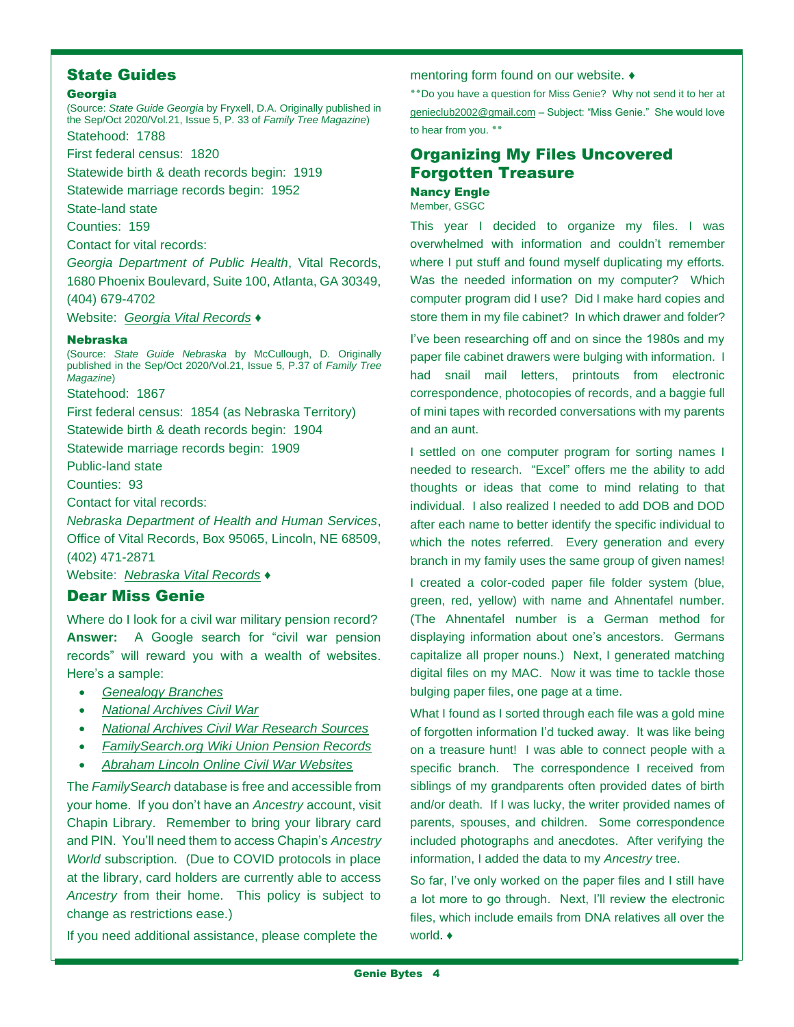# State Guides

#### Georgia

(Source: *State Guide Georgia* by Fryxell, D.A. Originally published in the Sep/Oct 2020/Vol.21, Issue 5, P. 33 of *Family Tree Magazine*)

Statehood: 1788

First federal census: 1820

Statewide birth & death records begin: 1919

Statewide marriage records begin: 1952

State-land state

Counties: 159

Contact for vital records:

*Georgia Department of Public Health*, Vital Records, 1680 Phoenix Boulevard, Suite 100, Atlanta, GA 30349,

(404) 679-4702

Website: *[Georgia Vital Records](https://dph.georgia.gov/VitalRecords)* ♦

#### Nebraska

(Source: *State Guide Nebraska* by McCullough, D. Originally published in the Sep/Oct 2020/Vol.21, Issue 5, P.37 of *Family Tree Magazine*)

Statehood: 1867

First federal census: 1854 (as Nebraska Territory)

Statewide birth & death records begin: 1904

Statewide marriage records begin: 1909

Public-land state

Counties: 93

Contact for vital records:

*Nebraska Department of Health and Human Services*, Office of Vital Records, Box 95065, Lincoln, NE 68509, (402) 471-2871

Website: *[Nebraska Vital Records](https://dhhs.ne.gov/Pages/vital-records.aspx)* ♦

# Dear Miss Genie

Where do I look for a civil war military pension record? **Answer:** A Google search for "civil war pension records" will reward you with a wealth of websites. Here's a sample:

- *[Genealogy Branches](https://www.genealogybranches.com/civilwar/)*
- *[National Archives Civil War](https://www.archives.gov/research/military/civil-war)*
- *[National Archives Civil War Research Sources](https://www.archives.gov/research/military/civil-war/resources)*
- *[FamilySearch.org Wiki Union Pension Records](https://www.familysearch.org/wiki/en/Union_Pension_Records)*
- *[Abraham Lincoln Online Civil War Websites](http://www.abrahamlincolnonline.org/lincoln/education/civil.htm)*

The *FamilySearch* database is free and accessible from your home. If you don't have an *Ancestry* account, visit Chapin Library. Remember to bring your library card and PIN. You'll need them to access Chapin's *Ancestry World* subscription. (Due to COVID protocols in place at the library, card holders are currently able to access *Ancestry* from their home. This policy is subject to change as restrictions ease.)

If you need additional assistance, please complete the

mentoring form found on our website. ♦

**٭٭**Do you have a question for Miss Genie? Why not send it to her at [genieclub2002@gmail.com](mailto:genieclub2002@gmail.com) – Subject: "Miss Genie." She would love to hear from you. **٭٭**

# Organizing My Files Uncovered Forgotten Treasure

Nancy Engle Member, GSGC

This year I decided to organize my files. I was overwhelmed with information and couldn't remember where I put stuff and found myself duplicating my efforts. Was the needed information on my computer? Which computer program did I use? Did I make hard copies and store them in my file cabinet? In which drawer and folder?

I've been researching off and on since the 1980s and my paper file cabinet drawers were bulging with information. I had snail mail letters, printouts from electronic correspondence, photocopies of records, and a baggie full of mini tapes with recorded conversations with my parents and an aunt.

I settled on one computer program for sorting names I needed to research. "Excel" offers me the ability to add thoughts or ideas that come to mind relating to that individual. I also realized I needed to add DOB and DOD after each name to better identify the specific individual to which the notes referred. Every generation and every branch in my family uses the same group of given names!

I created a color-coded paper file folder system (blue, green, red, yellow) with name and Ahnentafel number. (The Ahnentafel number is a German method for displaying information about one's ancestors. Germans capitalize all proper nouns.) Next, I generated matching digital files on my MAC. Now it was time to tackle those bulging paper files, one page at a time.

What I found as I sorted through each file was a gold mine of forgotten information I'd tucked away. It was like being on a treasure hunt! I was able to connect people with a specific branch. The correspondence I received from siblings of my grandparents often provided dates of birth and/or death. If I was lucky, the writer provided names of parents, spouses, and children. Some correspondence included photographs and anecdotes. After verifying the information, I added the data to my *Ancestry* tree.

So far, I've only worked on the paper files and I still have a lot more to go through. Next, I'll review the electronic files, which include emails from DNA relatives all over the world. ♦